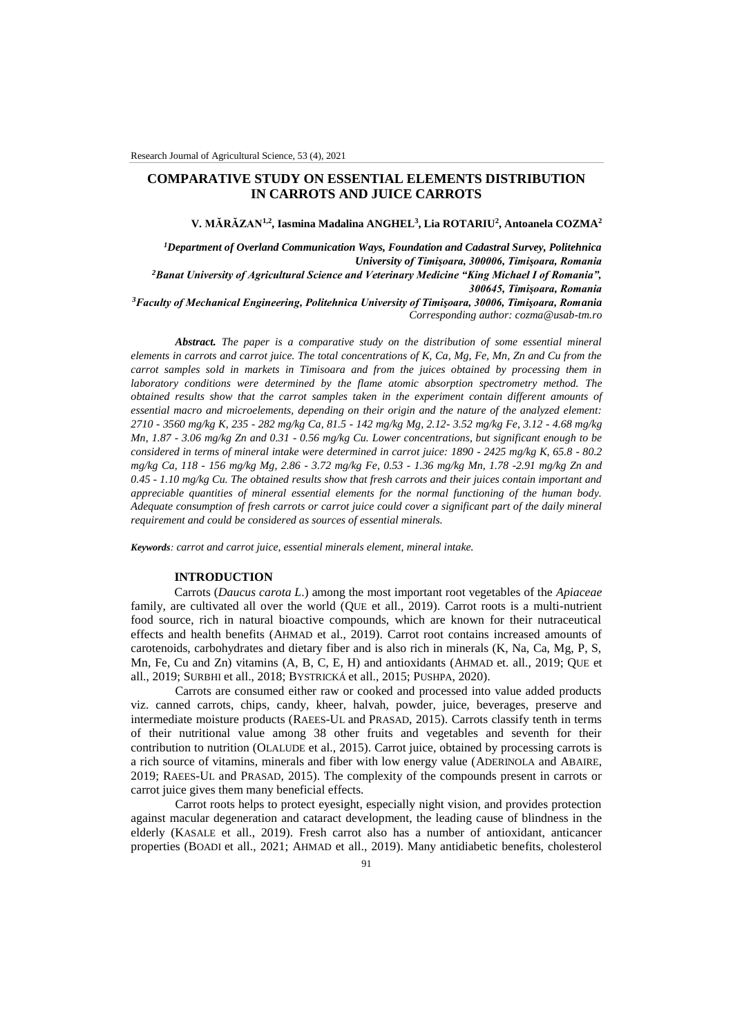# **COMPARATIVE STUDY ON ESSENTIAL ELEMENTS DISTRIBUTION IN CARROTS AND JUICE CARROTS**

**V. MĂRĂZAN1,2 , Iasmina Madalina ANGHEL<sup>3</sup> , Lia ROTARIU<sup>2</sup> , Antoanela COZMA<sup>2</sup>**

*<sup>1</sup>Department of Overland Communication Ways, Foundation and Cadastral Survey, Politehnica University of Timişoara, 300006, Timişoara, Romania <sup>2</sup>Banat University of Agricultural Science and Veterinary Medicine "King Michael I of Romania", 300645, Timişoara, Romania <sup>3</sup>Faculty of Mechanical Engineering, Politehnica University of Timişoara, 30006, Timişoara, Romania*

*Corresponding author: cozma@usab-tm.ro*

*Abstract. The paper is a comparative study on the distribution of some essential mineral elements in carrots and carrot juice. The total concentrations of K, Ca, Mg, Fe, Mn, Zn and Cu from the carrot samples sold in markets in Timisoara and from the juices obtained by processing them in laboratory conditions were determined by the flame atomic absorption spectrometry method. The obtained results show that the carrot samples taken in the experiment contain different amounts of essential macro and microelements, depending on their origin and the nature of the analyzed element: 2710 - 3560 mg/kg K, 235 - 282 mg/kg Ca, 81.5 - 142 mg/kg Mg, 2.12- 3.52 mg/kg Fe, 3.12 - 4.68 mg/kg Mn, 1.87 - 3.06 mg/kg Zn and 0.31 - 0.56 mg/kg Cu. Lower concentrations, but significant enough to be considered in terms of mineral intake were determined in carrot juice: 1890 - 2425 mg/kg K, 65.8 - 80.2 mg/kg Ca, 118 - 156 mg/kg Mg, 2.86 - 3.72 mg/kg Fe, 0.53 - 1.36 mg/kg Mn, 1.78 -2.91 mg/kg Zn and 0.45 - 1.10 mg/kg Cu. The obtained results show that fresh carrots and their juices contain important and appreciable quantities of mineral essential elements for the normal functioning of the human body. Adequate consumption of fresh carrots or carrot juice could cover a significant part of the daily mineral requirement and could be considered as sources of essential minerals.*

*Keywords: carrot and carrot juice, essential minerals element, mineral intake.*

## **INTRODUCTION**

Carrots (*Daucus carota L*.) among the most important root vegetables of the *Apiaceae*  family, are cultivated all over the world (QUE et all., 2019). Carrot roots is a multi-nutrient food source, rich in natural bioactive compounds, which are known for their nutraceutical effects and health benefits (AHMAD et al., 2019). Carrot root contains increased amounts of carotenoids, carbohydrates and dietary fiber and is also rich in minerals (K, Na, Ca, Mg, P, S, Mn, Fe, Cu and Zn) vitamins (A, B, C, E, H) and antioxidants (AHMAD et. all., 2019; QUE et all., 2019; SURBHI et all., 2018; BYSTRICKÁ et all., 2015; PUSHPA, 2020).

Carrots are consumed either raw or cooked and processed into value added products viz. canned carrots, chips, candy, kheer, halvah, powder, juice, beverages, preserve and intermediate moisture products (RAEES-UL and PRASAD, 2015). Carrots classify tenth in terms of their nutritional value among 38 other fruits and vegetables and seventh for their contribution to nutrition (OLALUDE et al., 2015). Carrot juice, obtained by processing carrots is a rich source of vitamins, minerals and fiber with low energy value (ADERINOLA and ABAIRE, 2019; RAEES-UL and PRASAD, 2015). The complexity of the compounds present in carrots or carrot juice gives them many beneficial effects.

Carrot roots helps to protect eyesight, especially night vision, and provides protection against macular degeneration and cataract development, the leading cause of blindness in the elderly (KASALE et all., 2019). Fresh carrot also has a number of antioxidant, anticancer properties (BOADI et all., 2021; AHMAD et all., 2019). Many antidiabetic benefits, cholesterol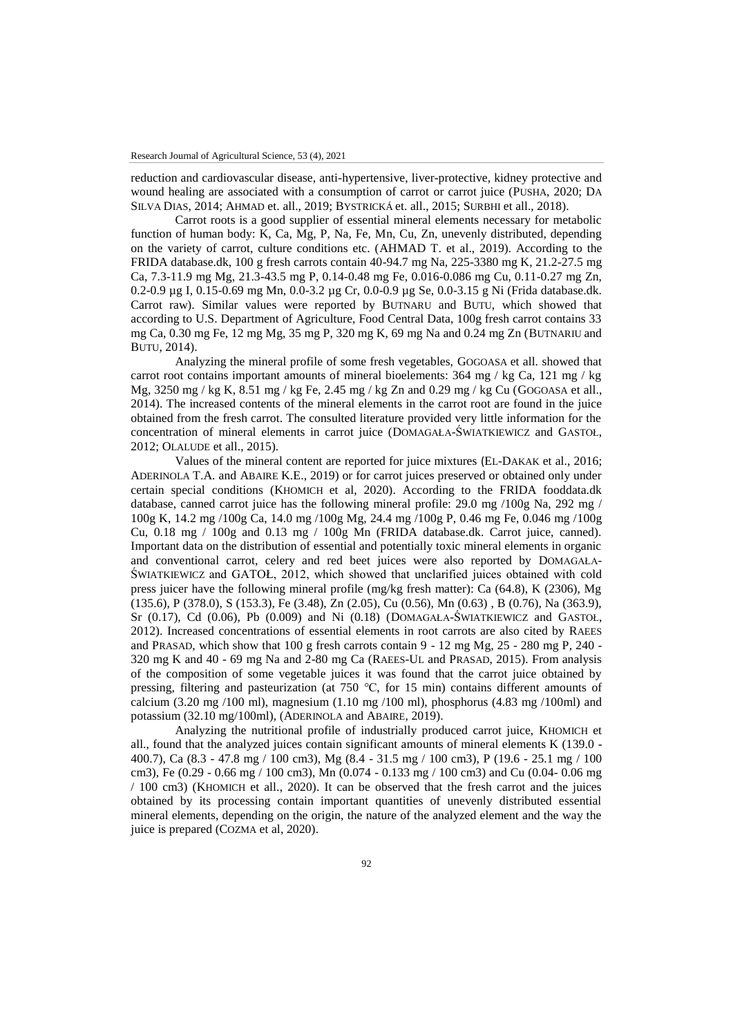reduction and cardiovascular disease, anti-hypertensive, liver-protective, kidney protective and wound healing are associated with a consumption of carrot or carrot juice (PUSHA, 2020; DA SILVA DIAS, 2014; AHMAD et. all., 2019; BYSTRICKÁ et. all., 2015; SURBHI et all., 2018).

Carrot roots is a good supplier of essential mineral elements necessary for metabolic function of human body: K, Ca, Mg, P, Na, Fe, Mn, Cu, Zn, unevenly distributed, depending on the variety of carrot, culture conditions etc. (AHMAD T. et al., 2019). According to the FRIDA database.dk, 100 g fresh carrots contain 40-94.7 mg Na, 225-3380 mg K, 21.2-27.5 mg Ca, 7.3-11.9 mg Mg, 21.3-43.5 mg P, 0.14-0.48 mg Fe, 0.016-0.086 mg Cu, 0.11-0.27 mg Zn, 0.2-0.9 µg I, 0.15-0.69 mg Mn, 0.0-3.2 µg Cr, 0.0-0.9 µg Se, 0.0-3.15 g Ni (Frida database.dk. Carrot raw). Similar values were reported by BUTNARU and BUTU, which showed that according to U.S. Department of Agriculture, Food Central Data, 100g fresh carrot contains 33 mg Ca, 0.30 mg Fe, 12 mg Mg, 35 mg P, 320 mg K, 69 mg Na and 0.24 mg Zn (BUTNARIU and BUTU, 2014).

Analyzing the mineral profile of some fresh vegetables, GOGOASA et all. showed that carrot root contains important amounts of mineral bioelements: 364 mg / kg Ca, 121 mg / kg Mg,  $3250$  mg / kg K,  $8.51$  mg / kg Fe,  $2.45$  mg / kg Zn and  $0.29$  mg / kg Cu (GOGOASA et all., 2014). The increased contents of the mineral elements in the carrot root are found in the juice obtained from the fresh carrot. The consulted literature provided very little information for the concentration of mineral elements in carrot juice (DOMAGAŁA-ŚWIATKIEWICZ and GASTOŁ, 2012; OLALUDE et all., 2015).

Values of the mineral content are reported for juice mixtures (EL-DAKAK et al., 2016; ADERINOLA T.A. and ABAIRE K.E., 2019) or for carrot juices preserved or obtained only under certain special conditions (KHOMICH et al, 2020). According to the FRIDA fooddata.dk database, canned carrot juice has the following mineral profile: 29.0 mg /100g Na, 292 mg / 100g K, 14.2 mg /100g Ca, 14.0 mg /100g Mg, 24.4 mg /100g P, 0.46 mg Fe, 0.046 mg /100g Cu, 0.18 mg / 100g and 0.13 mg / 100g Mn (FRIDA database.dk. Carrot juice, canned). Important data on the distribution of essential and potentially toxic mineral elements in organic and conventional carrot, celery and red beet juices were also reported by DOMAGAŁA-ŚWIATKIEWICZ and GATOŁ, 2012, which showed that unclarified juices obtained with cold press juicer have the following mineral profile (mg/kg fresh matter): Ca (64.8), K (2306), Mg (135.6), P (378.0), S (153.3), Fe (3.48), Zn (2.05), Cu (0.56), Mn (0.63) , B (0.76), Na (363.9), Sr (0.17), Cd (0.06), Pb (0.009) and Ni (0.18) (DOMAGAŁA-ŚWIATKIEWICZ and GASTOŁ, 2012). Increased concentrations of essential elements in root carrots are also cited by RAEES and PRASAD, which show that 100 g fresh carrots contain  $9 - 12$  mg Mg,  $25 - 280$  mg P,  $240 - 12$ 320 mg K and 40 - 69 mg Na and 2-80 mg Ca (RAEES-UL and PRASAD, 2015). From analysis of the composition of some vegetable juices it was found that the carrot juice obtained by pressing, filtering and pasteurization (at 750 ℃, for 15 min) contains different amounts of calcium (3.20 mg /100 ml), magnesium (1.10 mg /100 ml), phosphorus (4.83 mg /100ml) and potassium (32.10 mg/100ml), (ADERINOLA and ABAIRE, 2019).

Analyzing the nutritional profile of industrially produced carrot juice, KHOMICH et all., found that the analyzed juices contain significant amounts of mineral elements K (139.0 - 400.7), Ca (8.3 - 47.8 mg / 100 cm3), Mg (8.4 - 31.5 mg / 100 cm3), P (19.6 - 25.1 mg / 100 cm3), Fe (0.29 - 0.66 mg / 100 cm3), Mn (0.074 - 0.133 mg / 100 cm3) and Cu (0.04- 0.06 mg / 100 cm3) (KHOMICH et all., 2020). It can be observed that the fresh carrot and the juices obtained by its processing contain important quantities of unevenly distributed essential mineral elements, depending on the origin, the nature of the analyzed element and the way the juice is prepared (COZMA et al, 2020).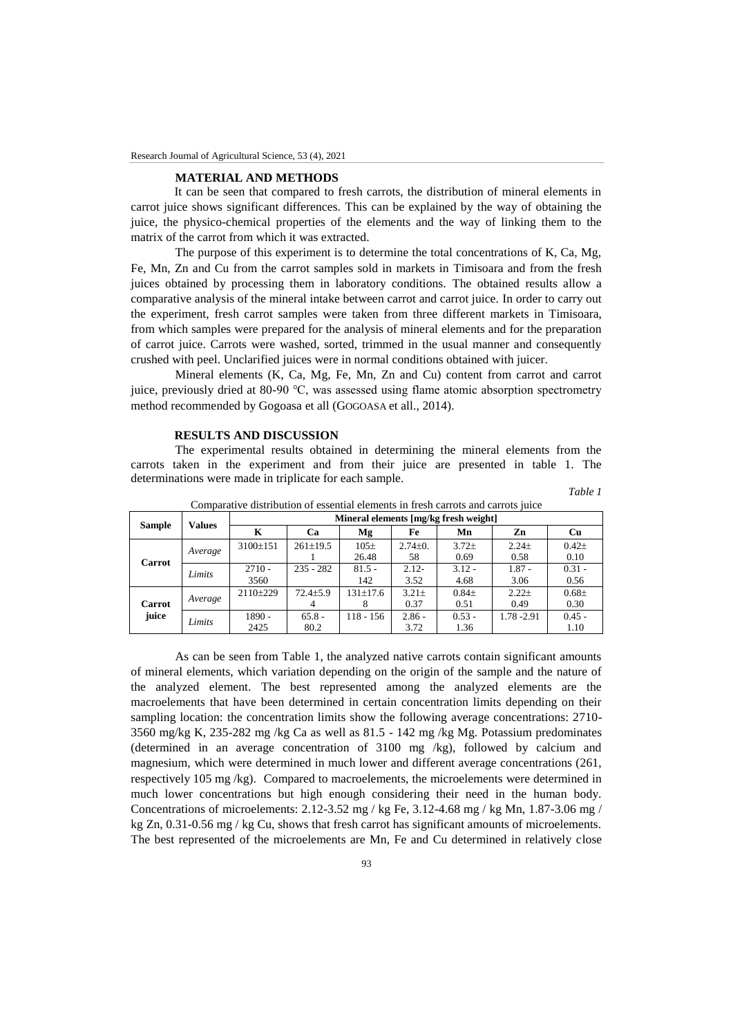## **MATERIAL AND METHODS**

It can be seen that compared to fresh carrots, the distribution of mineral elements in carrot juice shows significant differences. This can be explained by the way of obtaining the juice, the physico-chemical properties of the elements and the way of linking them to the matrix of the carrot from which it was extracted.

The purpose of this experiment is to determine the total concentrations of K, Ca, Mg, Fe, Mn, Zn and Cu from the carrot samples sold in markets in Timisoara and from the fresh juices obtained by processing them in laboratory conditions. The obtained results allow a comparative analysis of the mineral intake between carrot and carrot juice. In order to carry out the experiment, fresh carrot samples were taken from three different markets in Timisoara, from which samples were prepared for the analysis of mineral elements and for the preparation of carrot juice. Carrots were washed, sorted, trimmed in the usual manner and consequently crushed with peel. Unclarified juices were in normal conditions obtained with juicer.

Mineral elements (K, Ca, Mg, Fe, Mn, Zn and Cu) content from carrot and carrot juice, previously dried at 80-90 ℃, was assessed using flame atomic absorption spectrometry method recommended by Gogoasa et all (GOGOASA et all., 2014).

#### **RESULTS AND DISCUSSION**

The experimental results obtained in determining the mineral elements from the carrots taken in the experiment and from their juice are presented in table 1. The determinations were made in triplicate for each sample.

*Table 1*

| <b>Sample</b>          | <b>Values</b> | Mineral elements [mg/kg fresh weight] |                |           |               |           |             |            |
|------------------------|---------------|---------------------------------------|----------------|-----------|---------------|-----------|-------------|------------|
|                        |               | K                                     | Ca             | Mg        | Fe            | Mn        | Zn          | <b>Cu</b>  |
| Carrot                 | Average       | 3100±151                              | $261 \pm 19.5$ | $105\pm$  | $2.74 \pm 0.$ | $3.72+$   | $2.24 \pm$  | $0.42\pm$  |
|                        |               |                                       |                | 26.48     | 58            | 0.69      | 0.58        | 0.10       |
|                        | Limits        | $2710 -$                              | $235 - 282$    | $81.5 -$  | $2.12 -$      | $3.12 -$  | $1.87 -$    | $0.31 -$   |
|                        |               | 3560                                  |                | 142       | 3.52          | 4.68      | 3.06        | 0.56       |
| <b>Carrot</b><br>juice | Average       | $2110+229$                            | $72.4 \pm 5.9$ | 131±17.6  | $3.21 \pm$    | $0.84\pm$ | $2.22 \pm$  | $0.68 \pm$ |
|                        |               |                                       |                |           | 0.37          | 0.51      | 0.49        | 0.30       |
|                        | Limits        | 1890 -                                | $65.8 -$       | 118 - 156 | $2.86 -$      | $0.53 -$  | 1.78 - 2.91 | $0.45 -$   |
|                        |               | 2425                                  | 80.2           |           | 3.72          | 1.36      |             | 1.10       |

Comparative distribution of essential elements in fresh carrots and carrots juice

As can be seen from Table 1, the analyzed native carrots contain significant amounts of mineral elements, which variation depending on the origin of the sample and the nature of the analyzed element. The best represented among the analyzed elements are the macroelements that have been determined in certain concentration limits depending on their sampling location: the concentration limits show the following average concentrations: 2710- 3560 mg/kg K, 235-282 mg /kg Ca as well as 81.5 - 142 mg /kg Mg. Potassium predominates (determined in an average concentration of 3100 mg /kg), followed by calcium and magnesium, which were determined in much lower and different average concentrations (261, respectively 105 mg /kg). Compared to macroelements, the microelements were determined in much lower concentrations but high enough considering their need in the human body. Concentrations of microelements: 2.12-3.52 mg / kg Fe, 3.12-4.68 mg / kg Mn, 1.87-3.06 mg / kg Zn, 0.31-0.56 mg / kg Cu, shows that fresh carrot has significant amounts of microelements. The best represented of the microelements are Mn, Fe and Cu determined in relatively close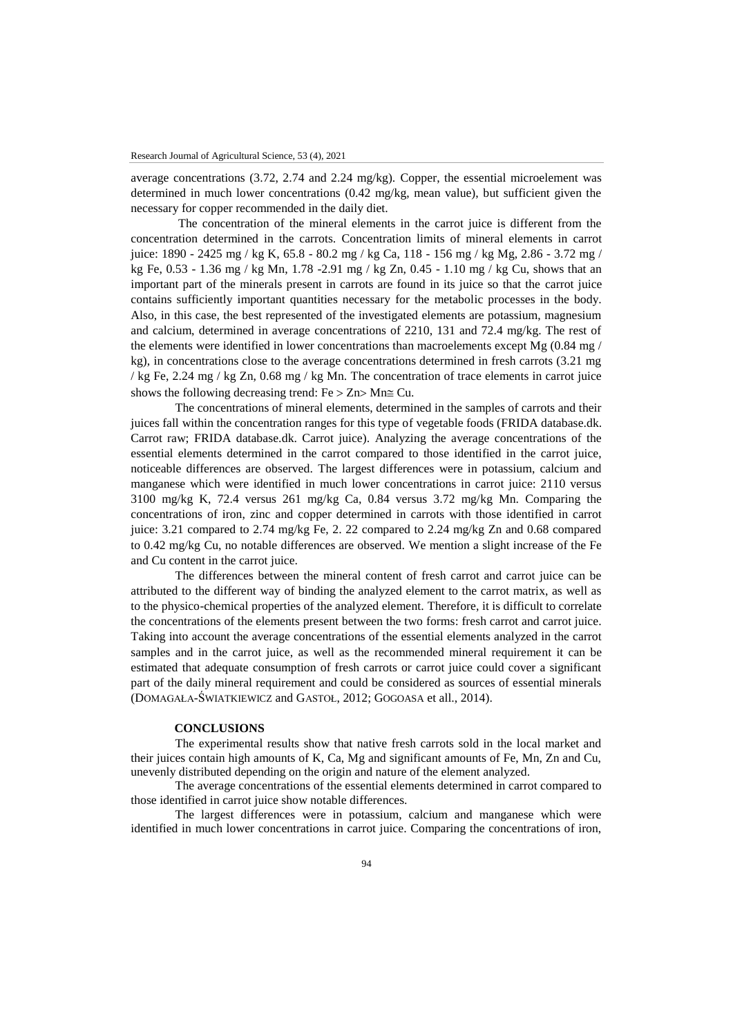average concentrations (3.72, 2.74 and 2.24 mg/kg). Copper, the essential microelement was determined in much lower concentrations (0.42 mg/kg, mean value), but sufficient given the necessary for copper recommended in the daily diet.

The concentration of the mineral elements in the carrot juice is different from the concentration determined in the carrots. Concentration limits of mineral elements in carrot juice: 1890 - 2425 mg / kg K, 65.8 - 80.2 mg / kg Ca, 118 - 156 mg / kg Mg, 2.86 - 3.72 mg / kg Fe, 0.53 - 1.36 mg / kg Mn, 1.78 -2.91 mg / kg Zn, 0.45 - 1.10 mg / kg Cu, shows that an important part of the minerals present in carrots are found in its juice so that the carrot juice contains sufficiently important quantities necessary for the metabolic processes in the body. Also, in this case, the best represented of the investigated elements are potassium, magnesium and calcium, determined in average concentrations of 2210, 131 and 72.4 mg/kg. The rest of the elements were identified in lower concentrations than macroelements except Mg (0.84 mg / kg), in concentrations close to the average concentrations determined in fresh carrots (3.21 mg / kg Fe, 2.24 mg / kg Zn, 0.68 mg / kg Mn. The concentration of trace elements in carrot juice shows the following decreasing trend:  $Fe > Zn > Mn \le Cu$ .

The concentrations of mineral elements, determined in the samples of carrots and their juices fall within the concentration ranges for this type of vegetable foods (FRIDA database.dk. Carrot raw; FRIDA database.dk. Carrot juice). Analyzing the average concentrations of the essential elements determined in the carrot compared to those identified in the carrot juice, noticeable differences are observed. The largest differences were in potassium, calcium and manganese which were identified in much lower concentrations in carrot juice: 2110 versus 3100 mg/kg K, 72.4 versus 261 mg/kg Ca, 0.84 versus 3.72 mg/kg Mn. Comparing the concentrations of iron, zinc and copper determined in carrots with those identified in carrot juice: 3.21 compared to 2.74 mg/kg Fe, 2. 22 compared to 2.24 mg/kg Zn and 0.68 compared to 0.42 mg/kg Cu, no notable differences are observed. We mention a slight increase of the Fe and Cu content in the carrot juice.

The differences between the mineral content of fresh carrot and carrot juice can be attributed to the different way of binding the analyzed element to the carrot matrix, as well as to the physico-chemical properties of the analyzed element. Therefore, it is difficult to correlate the concentrations of the elements present between the two forms: fresh carrot and carrot juice. Taking into account the average concentrations of the essential elements analyzed in the carrot samples and in the carrot juice, as well as the recommended mineral requirement it can be estimated that adequate consumption of fresh carrots or carrot juice could cover a significant part of the daily mineral requirement and could be considered as sources of essential minerals (DOMAGAŁA-ŚWIATKIEWICZ and GASTOŁ, 2012; GOGOASA et all., 2014).

### **CONCLUSIONS**

The experimental results show that native fresh carrots sold in the local market and their juices contain high amounts of K, Ca, Mg and significant amounts of Fe, Mn, Zn and Cu, unevenly distributed depending on the origin and nature of the element analyzed.

The average concentrations of the essential elements determined in carrot compared to those identified in carrot juice show notable differences.

The largest differences were in potassium, calcium and manganese which were identified in much lower concentrations in carrot juice. Comparing the concentrations of iron,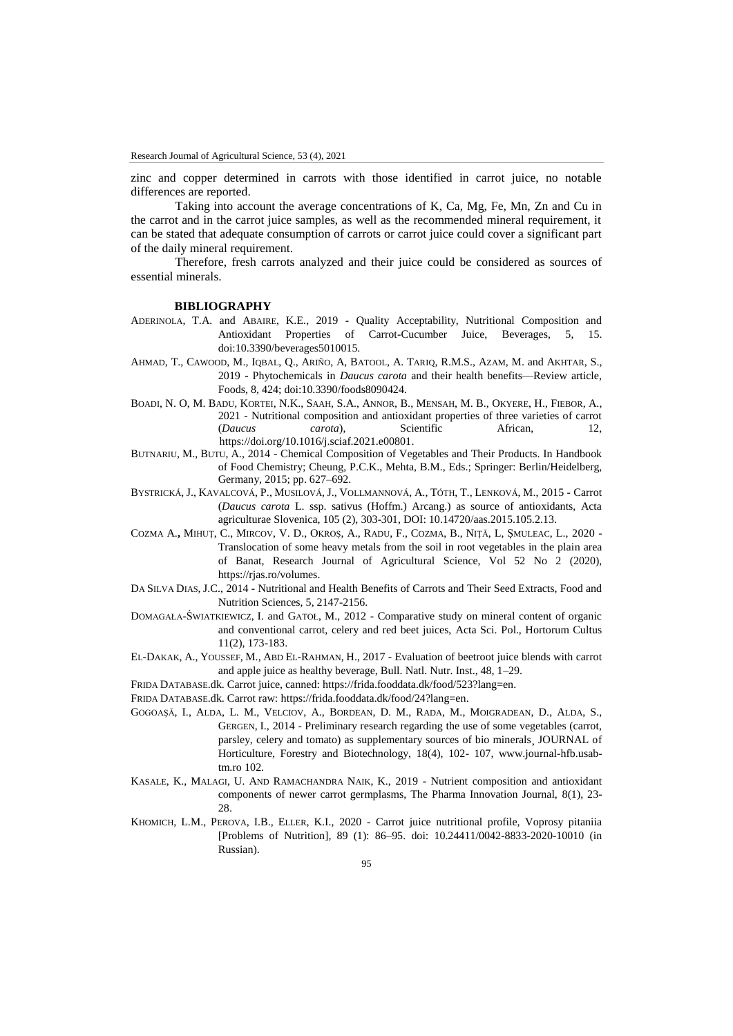zinc and copper determined in carrots with those identified in carrot juice, no notable differences are reported.

Taking into account the average concentrations of K, Ca, Mg, Fe, Mn, Zn and Cu in the carrot and in the carrot juice samples, as well as the recommended mineral requirement, it can be stated that adequate consumption of carrots or carrot juice could cover a significant part of the daily mineral requirement.

Therefore, fresh carrots analyzed and their juice could be considered as sources of essential minerals.

## **BIBLIOGRAPHY**

- ADERINOLA, T.A. and ABAIRE, K.E., 2019 Quality Acceptability, Nutritional Composition and Antioxidant Properties of Carrot-Cucumber Juice, Beverages, 5, 15. doi:10.3390/beverages5010015.
- AHMAD, T., CAWOOD, M., IQBAL, Q., ARIÑO, A, BATOOL, A. TARIQ, R.M.S., AZAM, M. and AKHTAR, S., 2019 - Phytochemicals in *Daucus carota* and their health benefits—Review article, Foods, 8, 424; doi:10.3390/foods8090424.
- BOADI, N. O, M. BADU, KORTEI, N.K., SAAH, S.A., ANNOR, B., MENSAH, M. B., OKYERE, H., FIEBOR, A., 2021 - Nutritional composition and antioxidant properties of three varieties of carrot (*Daucus carota*), Scientific African, 12, [https://doi.org/10.1016/j.sciaf.2021.e00801.](https://doi.org/10.1016/j.sciaf.2021.e00801)
- BUTNARIU, M., BUTU, A., 2014 Chemical Composition of Vegetables and Their Products. In Handbook of Food Chemistry; Cheung, P.C.K., Mehta, B.M., Eds.; Springer: Berlin/Heidelberg, Germany, 2015; pp. 627–692.
- BYSTRICKÁ, J., KAVALCOVÁ, P., MUSILOVÁ, J., VOLLMANNOVÁ, A., TÓTH, T., LENKOVÁ, M., 2015 Carrot (*Daucus carota* L. ssp. sativus (Hoffm.) Arcang.) as source of antioxidants, Acta agriculturae Slovenica, 105 (2), 303-301, DOI: 10.14720/aas.2015.105.2.13.
- COZMA A.**,** MIHUȚ, C., MIRCOV, V. D., OKROȘ, A., RADU, F., COZMA, B., NIȚĂ, L, ȘMULEAC, L., 2020 Translocation of some heavy metals from the soil in root vegetables in the plain area of Banat, Research Journal of Agricultural Science, Vol 52 No 2 (2020), [https://rjas.ro/volumes.](https://rjas.ro/volumes)
- DA SILVA DIAS, J.C., 2014 Nutritional and Health Benefits of Carrots and Their Seed Extracts, Food and Nutrition Sciences, 5, 2147-2156.
- DOMAGAŁA-ŚWIATKIEWICZ, I. and GATOŁ, M., 2012 Comparative study on mineral content of organic and conventional carrot, celery and red beet juices, Acta Sci. Pol., Hortorum Cultus 11(2), 173-183.
- EL-DAKAK, A., YOUSSEF, M., ABD EL-RAHMAN, H., 2017 Evaluation of beetroot juice blends with carrot and apple juice as healthy beverage, Bull. Natl. Nutr. Inst., 48, 1–29.
- FRIDA DATABASE.dk. Carrot juice, canned: [https://frida.fooddata.dk/food/523?lang=en.](https://frida.fooddata.dk/food/523?lang=en)

FRIDA DATABASE.dk. Carrot raw: [https://frida.fooddata.dk/food/24?lang=en.](https://frida.fooddata.dk/food/24?lang=en)

- GOGOAŞĂ, I., ALDA, L. M., VELCIOV, A., BORDEAN, D. M., RADA, M., MOIGRADEAN, D., ALDA, S., GERGEN, I., 2014 - Preliminary research regarding the use of some vegetables (carrot, parsley, celery and tomato) as supplementary sources of bio minerals¸ JOURNAL of Horticulture, Forestry and Biotechnology, 18(4), 102- 107, www.journal-hfb.usabtm.ro 102.
- KASALE, K., MALAGI, U. AND RAMACHANDRA NAIK, K., 2019 Nutrient composition and antioxidant components of newer carrot germplasms, The Pharma Innovation Journal, 8(1), 23- 28
- KHOMICH, L.M., PEROVA, I.B., ELLER, K.I., 2020 Carrot juice nutritional profile, Voprosy pitaniia [Problems of Nutrition], 89 (1): 86–95. doi: 10.24411/0042-8833-2020-10010 (in Russian).